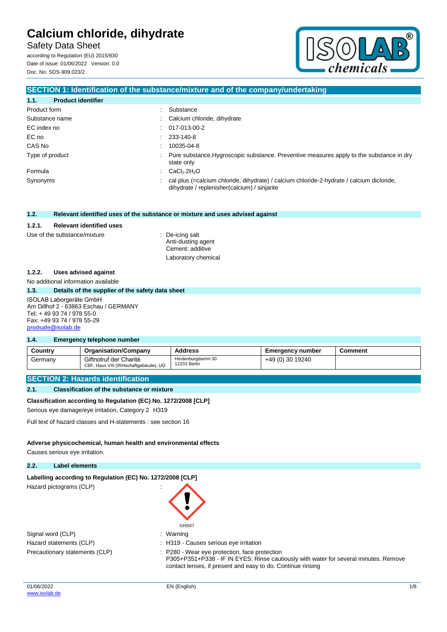Safety Data Sheet

according to Regulation (EU) 2015/830 Date of issue: 01/06/2022 Version: 0.0 Doc. No: SDS-909.023/2



### **SECTION 1: Identification of the substance/mixture and of the company/undertaking**

| 1.1.<br><b>Product identifier</b> |                                                                                                                                             |
|-----------------------------------|---------------------------------------------------------------------------------------------------------------------------------------------|
| Product form                      | Substance                                                                                                                                   |
| Substance name                    | : Calcium chloride, dihydrate                                                                                                               |
| EC index no                       | $: 017-013-00-2$                                                                                                                            |
| EC no                             | $: 233-140-8$                                                                                                                               |
| CAS No                            | 10035-04-8                                                                                                                                  |
| Type of product                   | : Pure substance, Hygroscopic substance. Preventive measures apply to the substance in dry<br>state only                                    |
| Formula                           | $\therefore$ CaCl <sub>2</sub> .2H <sub>2</sub> O                                                                                           |
| Synonyms                          | : cal plus (=calcium chloride, dihydrate) / calcium chloride-2-hydrate / calcium dicloride,<br>dihydrate / replenisher(calcium) / sinjarite |

#### **1.2. Relevant identified uses of the substance or mixture and uses advised against**

#### **1.2.1. Relevant identified uses**

#### Use of the substance/mixture : De-icing salt

Anti-dusting agent Cement: additive Laboratory chemical

#### **1.2.2. Uses advised against**

No additional information available

#### **1.3. Details of the supplier of the safety data sheet**

#### ISOLAB Laborgeräte GmbH Am Dillhof 2 - 63863 Eschau / GERMANY Tel: + 49 93 74 / 978 55-0 Fax: +49 93 74 / 978 55-29 [prodsafe@isolab.de](mailto:prodsafe@isolab.de)

#### **1.4. Emergency telephone number**

| Country | <b>Organisation/Company</b>                                      | <b>Address</b>                    | <b>Emergency number</b> | Comment |
|---------|------------------------------------------------------------------|-----------------------------------|-------------------------|---------|
| Germany | Giftnotruf der Charité<br>CBF, Haus VIII (Wirtschaftgebäude), UG | Hindenburgdamm 30<br>12203 Berlin | +49 (0) 30 19240        |         |

#### **SECTION 2: Hazards identification**

#### **2.1. Classification of the substance or mixture**

#### **Classification according to Regulation (EC) No. 1272/2008 [CLP]**

Serious eye damage/eye irritation, Category 2 H319

Full text of hazard classes and H-statements : see section 16

#### **Adverse physicochemical, human health and environmental effects**

Causes serious eye irritation.

#### **2.2. Label elements**

#### Labelling according to Regulation (EC) No. 1272/2008 [CLP]

Hazard pictograms (CLP) in the state of the state of the state of the state of the state of the state of the state of the state of the state of the state of the state of the state of the state of the state of the state of

| GHS07   |
|---------|
| Warning |

| Signal word (CLP)              | $:$ Warning  |
|--------------------------------|--------------|
| Hazard statements (CLP)        | : H319 - C   |
| Precautionary statements (CLP) | $: P280 - V$ |

: H319 - Causes serious eye irritation : P280 - Wear eye protection, face protection P305+P351+P338 - IF IN EYES: Rinse cautiously with water for several minutes. Remove contact lenses, if present and easy to do. Continue rinsing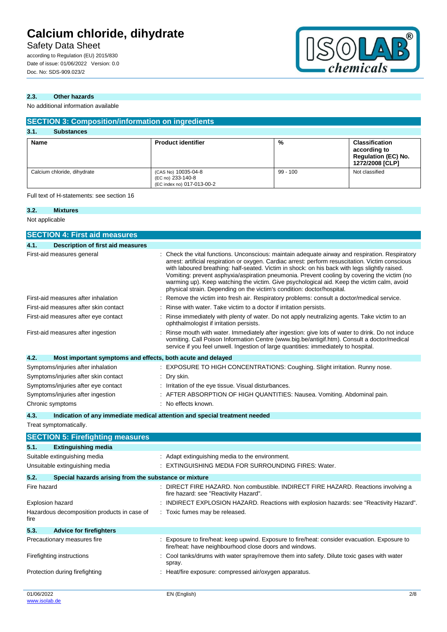## Safety Data Sheet

according to Regulation (EU) 2015/830 Date of issue: 01/06/2022 Version: 0.0 Doc. No: SDS-909.023/2



### **2.3. Other hazards**

No additional information available

| <b>SECTION 3: Composition/information on ingredients</b> |                                                                        |            |                                                                                        |  |
|----------------------------------------------------------|------------------------------------------------------------------------|------------|----------------------------------------------------------------------------------------|--|
| 3.1.<br><b>Substances</b>                                |                                                                        |            |                                                                                        |  |
| <b>Name</b>                                              | <b>Product identifier</b>                                              | %          | <b>Classification</b><br>according to<br><b>Regulation (EC) No.</b><br>1272/2008 [CLP] |  |
| Calcium chloride, dihydrate                              | (CAS No) 10035-04-8<br>(EC no) 233-140-8<br>(EC index no) 017-013-00-2 | $99 - 100$ | Not classified                                                                         |  |

Full text of H-statements: see section 16

### **3.2. Mixtures** Not applicable

|             | <b>SECTION 4: First aid measures</b>                        |                                                                                                                                                                                                                                                                                                                                                                                                                                                                                                                                                                            |
|-------------|-------------------------------------------------------------|----------------------------------------------------------------------------------------------------------------------------------------------------------------------------------------------------------------------------------------------------------------------------------------------------------------------------------------------------------------------------------------------------------------------------------------------------------------------------------------------------------------------------------------------------------------------------|
| 4.1.        | <b>Description of first aid measures</b>                    |                                                                                                                                                                                                                                                                                                                                                                                                                                                                                                                                                                            |
|             | First-aid measures general                                  | Check the vital functions. Unconscious: maintain adequate airway and respiration. Respiratory<br>arrest: artificial respiration or oxygen. Cardiac arrest: perform resuscitation. Victim conscious<br>with laboured breathing: half-seated. Victim in shock: on his back with legs slightly raised.<br>Vomiting: prevent asphyxia/aspiration pneumonia. Prevent cooling by covering the victim (no<br>warming up). Keep watching the victim. Give psychological aid. Keep the victim calm, avoid<br>physical strain. Depending on the victim's condition: doctor/hospital. |
|             | First-aid measures after inhalation                         | Remove the victim into fresh air. Respiratory problems: consult a doctor/medical service.                                                                                                                                                                                                                                                                                                                                                                                                                                                                                  |
|             | First-aid measures after skin contact                       | Rinse with water. Take victim to a doctor if irritation persists.                                                                                                                                                                                                                                                                                                                                                                                                                                                                                                          |
|             | First-aid measures after eye contact                        | Rinse immediately with plenty of water. Do not apply neutralizing agents. Take victim to an<br>ophthalmologist if irritation persists.                                                                                                                                                                                                                                                                                                                                                                                                                                     |
|             | First-aid measures after ingestion                          | Rinse mouth with water. Immediately after ingestion: give lots of water to drink. Do not induce<br>vomiting. Call Poison Information Centre (www.big.be/antigif.htm). Consult a doctor/medical<br>service if you feel unwell. Ingestion of large quantities: immediately to hospital.                                                                                                                                                                                                                                                                                      |
| 4.2.        | Most important symptoms and effects, both acute and delayed |                                                                                                                                                                                                                                                                                                                                                                                                                                                                                                                                                                            |
|             | Symptoms/injuries after inhalation                          | : EXPOSURE TO HIGH CONCENTRATIONS: Coughing. Slight irritation. Runny nose.                                                                                                                                                                                                                                                                                                                                                                                                                                                                                                |
|             | Symptoms/injuries after skin contact                        | Dry skin.                                                                                                                                                                                                                                                                                                                                                                                                                                                                                                                                                                  |
|             | Symptoms/injuries after eye contact                         | Irritation of the eye tissue. Visual disturbances.                                                                                                                                                                                                                                                                                                                                                                                                                                                                                                                         |
|             | Symptoms/injuries after ingestion                           | AFTER ABSORPTION OF HIGH QUANTITIES: Nausea. Vomiting. Abdominal pain.                                                                                                                                                                                                                                                                                                                                                                                                                                                                                                     |
|             | Chronic symptoms                                            | : No effects known.                                                                                                                                                                                                                                                                                                                                                                                                                                                                                                                                                        |
| 4.3.        |                                                             | Indication of any immediate medical attention and special treatment needed                                                                                                                                                                                                                                                                                                                                                                                                                                                                                                 |
|             | Treat symptomatically.                                      |                                                                                                                                                                                                                                                                                                                                                                                                                                                                                                                                                                            |
|             | <b>SECTION 5: Firefighting measures</b>                     |                                                                                                                                                                                                                                                                                                                                                                                                                                                                                                                                                                            |
| 5.1.        | <b>Extinguishing media</b>                                  |                                                                                                                                                                                                                                                                                                                                                                                                                                                                                                                                                                            |
|             | Suitable extinguishing media                                | : Adapt extinguishing media to the environment.                                                                                                                                                                                                                                                                                                                                                                                                                                                                                                                            |
|             | Unsuitable extinguishing media                              | <b>EXTINGUISHING MEDIA FOR SURROUNDING FIRES: Water.</b>                                                                                                                                                                                                                                                                                                                                                                                                                                                                                                                   |
| 5.2.        | Special hazards arising from the substance or mixture       |                                                                                                                                                                                                                                                                                                                                                                                                                                                                                                                                                                            |
| Fire hazard |                                                             | : DIRECT FIRE HAZARD. Non combustible. INDIRECT FIRE HAZARD. Reactions involving a<br>fire hazard: see "Reactivity Hazard".                                                                                                                                                                                                                                                                                                                                                                                                                                                |
|             | Explosion hazard                                            | INDIRECT EXPLOSION HAZARD. Reactions with explosion hazards: see "Reactivity Hazard".                                                                                                                                                                                                                                                                                                                                                                                                                                                                                      |
| fire        | Hazardous decomposition products in case of                 | : Toxic fumes may be released.                                                                                                                                                                                                                                                                                                                                                                                                                                                                                                                                             |
| 5.3.        | <b>Advice for firefighters</b>                              |                                                                                                                                                                                                                                                                                                                                                                                                                                                                                                                                                                            |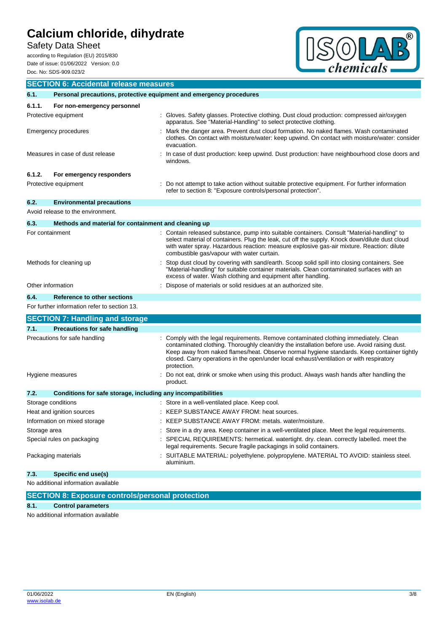Safety Data Sheet

according to Regulation (EU) 2015/830 Date of issue: 01/06/2022 Version: 0.0 Doc. No: SDS-909.023/2



|                                     | <b>SECTION 6: Accidental release measures</b>                       |                                                                                                                                                                                                                                                                                                                                                                                              |  |
|-------------------------------------|---------------------------------------------------------------------|----------------------------------------------------------------------------------------------------------------------------------------------------------------------------------------------------------------------------------------------------------------------------------------------------------------------------------------------------------------------------------------------|--|
| 6.1.                                | Personal precautions, protective equipment and emergency procedures |                                                                                                                                                                                                                                                                                                                                                                                              |  |
| 6.1.1.                              | For non-emergency personnel                                         |                                                                                                                                                                                                                                                                                                                                                                                              |  |
|                                     | Protective equipment                                                | Gloves. Safety glasses. Protective clothing. Dust cloud production: compressed air/oxygen<br>apparatus. See "Material-Handling" to select protective clothing.                                                                                                                                                                                                                               |  |
|                                     | Emergency procedures                                                | Mark the danger area. Prevent dust cloud formation. No naked flames. Wash contaminated<br>clothes. On contact with moisture/water: keep upwind. On contact with moisture/water: consider<br>evacuation.                                                                                                                                                                                      |  |
|                                     | Measures in case of dust release                                    | In case of dust production: keep upwind. Dust production: have neighbourhood close doors and<br>windows.                                                                                                                                                                                                                                                                                     |  |
| 6.1.2.                              | For emergency responders                                            |                                                                                                                                                                                                                                                                                                                                                                                              |  |
|                                     | Protective equipment                                                | Do not attempt to take action without suitable protective equipment. For further information<br>refer to section 8: "Exposure controls/personal protection".                                                                                                                                                                                                                                 |  |
| 6.2.                                | <b>Environmental precautions</b>                                    |                                                                                                                                                                                                                                                                                                                                                                                              |  |
|                                     | Avoid release to the environment.                                   |                                                                                                                                                                                                                                                                                                                                                                                              |  |
| 6.3.                                | Methods and material for containment and cleaning up                |                                                                                                                                                                                                                                                                                                                                                                                              |  |
| For containment                     |                                                                     | Contain released substance, pump into suitable containers. Consult "Material-handling" to<br>select material of containers. Plug the leak, cut off the supply. Knock down/dilute dust cloud<br>with water spray. Hazardous reaction: measure explosive gas-air mixture. Reaction: dilute<br>combustible gas/vapour with water curtain.                                                       |  |
|                                     | Methods for cleaning up                                             | Stop dust cloud by covering with sand/earth. Scoop solid spill into closing containers. See<br>"Material-handling" for suitable container materials. Clean contaminated surfaces with an<br>excess of water. Wash clothing and equipment after handling.                                                                                                                                     |  |
| Other information                   |                                                                     | Dispose of materials or solid residues at an authorized site.                                                                                                                                                                                                                                                                                                                                |  |
| 6.4.                                | Reference to other sections                                         |                                                                                                                                                                                                                                                                                                                                                                                              |  |
|                                     | For further information refer to section 13.                        |                                                                                                                                                                                                                                                                                                                                                                                              |  |
|                                     | <b>SECTION 7: Handling and storage</b>                              |                                                                                                                                                                                                                                                                                                                                                                                              |  |
| 7.1.                                | <b>Precautions for safe handling</b>                                |                                                                                                                                                                                                                                                                                                                                                                                              |  |
|                                     | Precautions for safe handling                                       | Comply with the legal requirements. Remove contaminated clothing immediately. Clean<br>contaminated clothing. Thoroughly clean/dry the installation before use. Avoid raising dust.<br>Keep away from naked flames/heat. Observe normal hygiene standards. Keep container tightly<br>closed. Carry operations in the open/under local exhaust/ventilation or with respiratory<br>protection. |  |
|                                     | Hygiene measures                                                    | Do not eat, drink or smoke when using this product. Always wash hands after handling the<br>product.                                                                                                                                                                                                                                                                                         |  |
| 7.2.                                | Conditions for safe storage, including any incompatibilities        |                                                                                                                                                                                                                                                                                                                                                                                              |  |
|                                     | Storage conditions                                                  | : Store in a well-ventilated place. Keep cool.                                                                                                                                                                                                                                                                                                                                               |  |
| Heat and ignition sources           |                                                                     | KEEP SUBSTANCE AWAY FROM: heat sources                                                                                                                                                                                                                                                                                                                                                       |  |
|                                     | Information on mixed storage                                        | KEEP SUBSTANCE AWAY FROM: metals. water/moisture.                                                                                                                                                                                                                                                                                                                                            |  |
| Storage area                        |                                                                     | Store in a dry area. Keep container in a well-ventilated place. Meet the legal requirements.                                                                                                                                                                                                                                                                                                 |  |
|                                     | Special rules on packaging                                          | SPECIAL REQUIREMENTS: hermetical. watertight. dry. clean. correctly labelled. meet the<br>legal requirements. Secure fragile packagings in solid containers.                                                                                                                                                                                                                                 |  |
|                                     | Packaging materials                                                 | SUITABLE MATERIAL: polyethylene. polypropylene. MATERIAL TO AVOID: stainless steel.<br>aluminium.                                                                                                                                                                                                                                                                                            |  |
| 7.3.                                | Specific end use(s)                                                 |                                                                                                                                                                                                                                                                                                                                                                                              |  |
| No additional information available |                                                                     |                                                                                                                                                                                                                                                                                                                                                                                              |  |
|                                     | <b>SECTION 8: Exposure controls/personal protection</b>             |                                                                                                                                                                                                                                                                                                                                                                                              |  |

**8.1. Control parameters**

No additional information available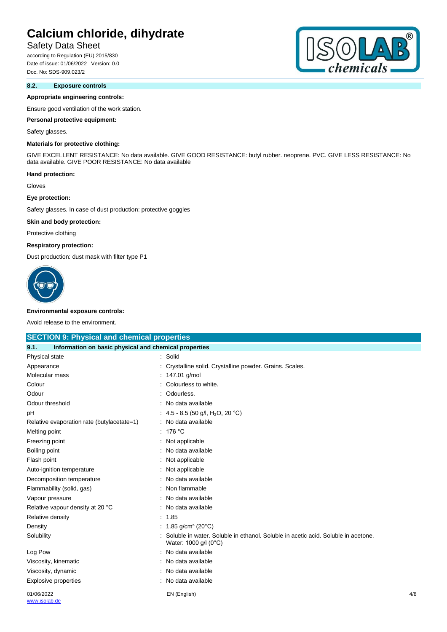## Safety Data Sheet

according to Regulation (EU) 2015/830 Date of issue: 01/06/2022 Version: 0.0 Doc. No: SDS-909.023/2

### **8.2. Exposure controls**

#### **Appropriate engineering controls:**

Ensure good ventilation of the work station.

#### **Personal protective equipment:**

#### Safety glasses.

### **Materials for protective clothing:**

GIVE EXCELLENT RESISTANCE: No data available. GIVE GOOD RESISTANCE: butyl rubber. neoprene. PVC. GIVE LESS RESISTANCE: No data available. GIVE POOR RESISTANCE: No data available

#### **Hand protection:**

Gloves

#### **Eye protection:**

Safety glasses. In case of dust production: protective goggles

#### **Skin and body protection:**

Protective clothing

#### **Respiratory protection:**

Dust production: dust mask with filter type P1



#### **Environmental exposure controls:**

Avoid release to the environment.

| <b>SECTION 9: Physical and chemical properties</b>            |                                                                                                            |     |
|---------------------------------------------------------------|------------------------------------------------------------------------------------------------------------|-----|
| Information on basic physical and chemical properties<br>9.1. |                                                                                                            |     |
| Physical state                                                | : Solid                                                                                                    |     |
| Appearance                                                    | Crystalline solid. Crystalline powder. Grains. Scales.                                                     |     |
| Molecular mass                                                | 147.01 g/mol                                                                                               |     |
| Colour                                                        | Colourless to white.                                                                                       |     |
| Odour                                                         | Odourless.                                                                                                 |     |
| Odour threshold                                               | No data available                                                                                          |     |
| pH                                                            | : 4.5 - 8.5 (50 g/l, H <sub>2</sub> O, 20 °C)                                                              |     |
| Relative evaporation rate (butylacetate=1)                    | No data available                                                                                          |     |
| Melting point                                                 | 176 °C                                                                                                     |     |
| Freezing point                                                | Not applicable                                                                                             |     |
| Boiling point                                                 | No data available                                                                                          |     |
| Flash point                                                   | Not applicable                                                                                             |     |
| Auto-ignition temperature                                     | Not applicable                                                                                             |     |
| Decomposition temperature                                     | No data available                                                                                          |     |
| Flammability (solid, gas)                                     | Non flammable                                                                                              |     |
| Vapour pressure                                               | No data available                                                                                          |     |
| Relative vapour density at 20 °C                              | No data available                                                                                          |     |
| Relative density                                              | : 1.85                                                                                                     |     |
| Density                                                       | : 1.85 g/cm <sup>3</sup> (20 $^{\circ}$ C)                                                                 |     |
| Solubility                                                    | Soluble in water. Soluble in ethanol. Soluble in acetic acid. Soluble in acetone.<br>Water: 1000 g/l (0°C) |     |
| Log Pow                                                       | No data available                                                                                          |     |
| Viscosity, kinematic                                          | No data available                                                                                          |     |
| Viscosity, dynamic                                            | No data available                                                                                          |     |
| <b>Explosive properties</b>                                   | No data available                                                                                          |     |
| 01/06/2022                                                    | EN (English)                                                                                               | 4/8 |

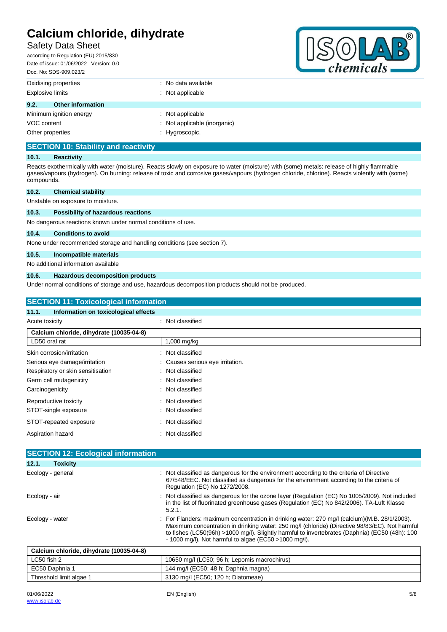## Safety Data Sheet

according to Regulation (EU) 2015/830 Date of issue: 01/06/2022 Version: 0.0 Doc. No: SDS-909.023/2



| DUC. INU. ODO-909.029/2          |                                |
|----------------------------------|--------------------------------|
| Oxidising properties             | $\therefore$ No data available |
| <b>Explosive limits</b>          | : Not applicable               |
| 9.2.<br><b>Other information</b> |                                |
| Minimum ignition energy          | : Not applicable               |
| VOC content                      | : Not applicable (inorganic)   |
| Other properties                 | : Hygroscopic.                 |

## **SECTION 10: Stability and reactivity**

#### **10.1. Reactivity**

Reacts exothermically with water (moisture). Reacts slowly on exposure to water (moisture) with (some) metals: release of highly flammable gases/vapours (hydrogen). On burning: release of toxic and corrosive gases/vapours (hydrogen chloride, chlorine). Reacts violently with (some) compounds.

| 10.2. | <b>Chemical stability</b>         |  |  |
|-------|-----------------------------------|--|--|
|       | Unstable on exposure to moisture. |  |  |

#### **10.3. Possibility of hazardous reactions**

No dangerous reactions known under normal conditions of use.

#### **10.4. Conditions to avoid**

None under recommended storage and handling conditions (see section 7).

#### **10.5. Incompatible materials**

No additional information available

#### **10.6. Hazardous decomposition products**

Under normal conditions of storage and use, hazardous decomposition products should not be produced.

| <b>SECTION 11: Toxicological information</b>  |                                |  |
|-----------------------------------------------|--------------------------------|--|
| Information on toxicological effects<br>11.1. |                                |  |
| Acute toxicity                                | : Not classified               |  |
| Calcium chloride, dihydrate (10035-04-8)      |                                |  |
| LD50 oral rat                                 | 1,000 mg/kg                    |  |
| Skin corrosion/irritation                     | Not classified<br>۰.           |  |
| Serious eye damage/irritation                 | Causes serious eye irritation. |  |
| Respiratory or skin sensitisation             | Not classified<br>÷            |  |
| Germ cell mutagenicity                        | Not classified<br>÷            |  |
| Carcinogenicity                               | Not classified<br>÷            |  |
| Reproductive toxicity                         | Not classified<br>÷            |  |
| STOT-single exposure                          | Not classified<br>÷            |  |
| STOT-repeated exposure                        | Not classified<br>÷            |  |
| Aspiration hazard                             | Not classified<br>۰            |  |
|                                               |                                |  |
| <b>SECTION 12: Ecological information</b>     |                                |  |

| 12.1.           | <b>Toxicity</b>                          |                                                                                                                                                                                                                                                                                                                                                            |
|-----------------|------------------------------------------|------------------------------------------------------------------------------------------------------------------------------------------------------------------------------------------------------------------------------------------------------------------------------------------------------------------------------------------------------------|
|                 | Ecology - general                        | : Not classified as dangerous for the environment according to the criteria of Directive<br>67/548/EEC. Not classified as dangerous for the environment according to the criteria of<br>Regulation (EC) No 1272/2008.                                                                                                                                      |
| Ecology - air   |                                          | : Not classified as dangerous for the ozone layer (Regulation (EC) No 1005/2009). Not included<br>in the list of fluorinated greenhouse gases (Regulation (EC) No 842/2006). TA-Luft Klasse<br>5.2.1.                                                                                                                                                      |
| Ecology - water |                                          | : For Flanders: maximum concentration in drinking water: 270 mg/l (calcium)(M.B. 28/1/2003).<br>Maximum concentration in drinking water: 250 mg/l (chloride) (Directive 98/83/EC). Not harmful<br>to fishes (LC50(96h) >1000 mg/l). Slightly harmful to invertebrates (Daphnia) (EC50 (48h): 100<br>- 1000 mg/l). Not harmful to algae (EC50 > 1000 mg/l). |
|                 | Calcium chloride, dihydrate (10035-04-8) |                                                                                                                                                                                                                                                                                                                                                            |
| LC50 fish 2     |                                          | 10650 mg/l (LC50; 96 h; Lepomis macrochirus)                                                                                                                                                                                                                                                                                                               |
|                 | EC50 Daphnia 1                           | 144 mg/l (EC50; 48 h; Daphnia magna)                                                                                                                                                                                                                                                                                                                       |

Threshold limit algae 1 3130 mg/l (EC50; 120 h; Diatomeae)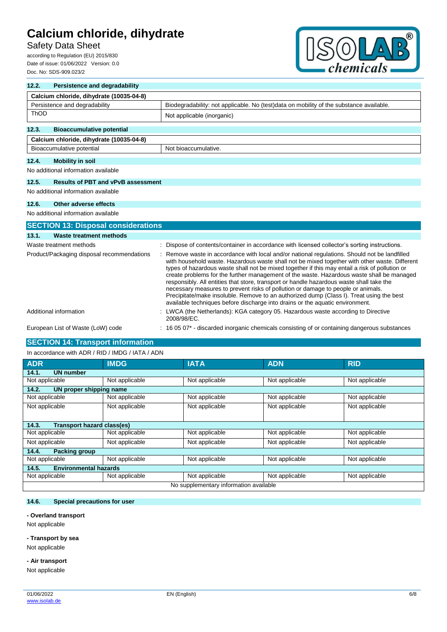## Safety Data Sheet

according to Regulation (EU) 2015/830 Date of issue: 01/06/2022 Version: 0.0 Doc. No: SDS-909.023/2



| 12.2.                                      | <b>Persistence and degradability</b>                                                                                     |                                                                                                                                                                                                                                                                                                                                                                                                                                                                                                                                                                                                                                                                                                                                                          |  |  |  |
|--------------------------------------------|--------------------------------------------------------------------------------------------------------------------------|----------------------------------------------------------------------------------------------------------------------------------------------------------------------------------------------------------------------------------------------------------------------------------------------------------------------------------------------------------------------------------------------------------------------------------------------------------------------------------------------------------------------------------------------------------------------------------------------------------------------------------------------------------------------------------------------------------------------------------------------------------|--|--|--|
|                                            | Calcium chloride, dihydrate (10035-04-8)                                                                                 |                                                                                                                                                                                                                                                                                                                                                                                                                                                                                                                                                                                                                                                                                                                                                          |  |  |  |
|                                            | Persistence and degradability<br>Biodegradability: not applicable. No (test)data on mobility of the substance available. |                                                                                                                                                                                                                                                                                                                                                                                                                                                                                                                                                                                                                                                                                                                                                          |  |  |  |
| ThOD                                       |                                                                                                                          | Not applicable (inorganic)                                                                                                                                                                                                                                                                                                                                                                                                                                                                                                                                                                                                                                                                                                                               |  |  |  |
| 12.3.                                      | <b>Bioaccumulative potential</b>                                                                                         |                                                                                                                                                                                                                                                                                                                                                                                                                                                                                                                                                                                                                                                                                                                                                          |  |  |  |
|                                            | Calcium chloride, dihydrate (10035-04-8)                                                                                 |                                                                                                                                                                                                                                                                                                                                                                                                                                                                                                                                                                                                                                                                                                                                                          |  |  |  |
|                                            | Bioaccumulative potential                                                                                                | Not bioaccumulative.                                                                                                                                                                                                                                                                                                                                                                                                                                                                                                                                                                                                                                                                                                                                     |  |  |  |
| 12.4.                                      | <b>Mobility in soil</b>                                                                                                  |                                                                                                                                                                                                                                                                                                                                                                                                                                                                                                                                                                                                                                                                                                                                                          |  |  |  |
|                                            | No additional information available                                                                                      |                                                                                                                                                                                                                                                                                                                                                                                                                                                                                                                                                                                                                                                                                                                                                          |  |  |  |
| 12.5.                                      | <b>Results of PBT and vPvB assessment</b>                                                                                |                                                                                                                                                                                                                                                                                                                                                                                                                                                                                                                                                                                                                                                                                                                                                          |  |  |  |
|                                            | No additional information available                                                                                      |                                                                                                                                                                                                                                                                                                                                                                                                                                                                                                                                                                                                                                                                                                                                                          |  |  |  |
| 12.6.                                      | Other adverse effects                                                                                                    |                                                                                                                                                                                                                                                                                                                                                                                                                                                                                                                                                                                                                                                                                                                                                          |  |  |  |
|                                            | No additional information available                                                                                      |                                                                                                                                                                                                                                                                                                                                                                                                                                                                                                                                                                                                                                                                                                                                                          |  |  |  |
|                                            | <b>SECTION 13: Disposal considerations</b>                                                                               |                                                                                                                                                                                                                                                                                                                                                                                                                                                                                                                                                                                                                                                                                                                                                          |  |  |  |
| 13.1.                                      | Waste treatment methods                                                                                                  |                                                                                                                                                                                                                                                                                                                                                                                                                                                                                                                                                                                                                                                                                                                                                          |  |  |  |
|                                            | Waste treatment methods                                                                                                  | : Dispose of contents/container in accordance with licensed collector's sorting instructions.                                                                                                                                                                                                                                                                                                                                                                                                                                                                                                                                                                                                                                                            |  |  |  |
| Product/Packaging disposal recommendations |                                                                                                                          | Remove waste in accordance with local and/or national regulations. Should not be landfilled<br>with household waste. Hazardous waste shall not be mixed together with other waste. Different<br>types of hazardous waste shall not be mixed together if this may entail a risk of pollution or<br>create problems for the further management of the waste. Hazardous waste shall be managed<br>responsibly. All entities that store, transport or handle hazardous waste shall take the<br>necessary measures to prevent risks of pollution or damage to people or animals.<br>Precipitate/make insoluble. Remove to an authorized dump (Class I). Treat using the best<br>available techniques before discharge into drains or the aquatic environment. |  |  |  |
|                                            | Additional information                                                                                                   | : LWCA (the Netherlands): KGA category 05. Hazardous waste according to Directive<br>2008/98/EC.                                                                                                                                                                                                                                                                                                                                                                                                                                                                                                                                                                                                                                                         |  |  |  |
|                                            | European List of Waste (LoW) code                                                                                        | 16 05 07* - discarded inorganic chemicals consisting of or containing dangerous substances                                                                                                                                                                                                                                                                                                                                                                                                                                                                                                                                                                                                                                                               |  |  |  |

## **SECTION 14: Transport information**

| In accordance with ADR / RID / IMDG / IATA / ADN |                |                |                |                |  |  |  |
|--------------------------------------------------|----------------|----------------|----------------|----------------|--|--|--|
| <b>ADR</b>                                       | <b>IMDG</b>    | <b>IATA</b>    | <b>ADN</b>     | <b>RID</b>     |  |  |  |
| <b>UN number</b><br>14.1.                        |                |                |                |                |  |  |  |
| Not applicable                                   | Not applicable | Not applicable | Not applicable | Not applicable |  |  |  |
| 14.2.<br>UN proper shipping name                 |                |                |                |                |  |  |  |
| Not applicable                                   | Not applicable | Not applicable | Not applicable | Not applicable |  |  |  |
| Not applicable                                   | Not applicable | Not applicable | Not applicable | Not applicable |  |  |  |
|                                                  |                |                |                |                |  |  |  |
| <b>Transport hazard class(es)</b><br>14.3.       |                |                |                |                |  |  |  |
| Not applicable                                   | Not applicable | Not applicable | Not applicable | Not applicable |  |  |  |
| Not applicable                                   | Not applicable | Not applicable | Not applicable | Not applicable |  |  |  |
| 14.4.<br><b>Packing group</b>                    |                |                |                |                |  |  |  |
| Not applicable                                   | Not applicable | Not applicable | Not applicable | Not applicable |  |  |  |
| 14.5.<br><b>Environmental hazards</b>            |                |                |                |                |  |  |  |
| Not applicable                                   | Not applicable | Not applicable | Not applicable | Not applicable |  |  |  |
| No supplementary information available           |                |                |                |                |  |  |  |

#### **14.6. Special precautions for user**

#### **- Overland transport**

Not applicable

### **- Transport by sea**

Not applicable

#### **- Air transport**

Not applicable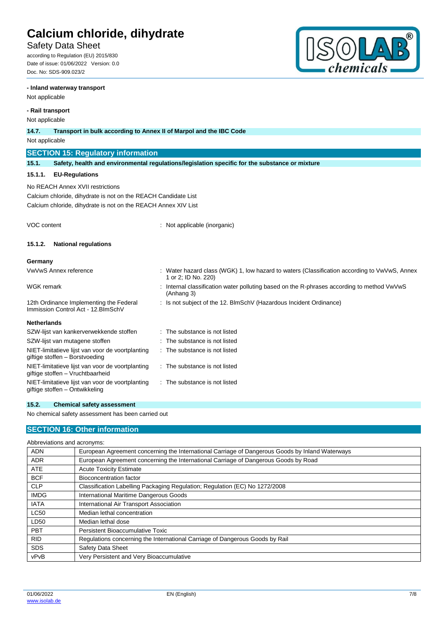## Safety Data Sheet

according to Regulation (EU) 2015/830 Date of issue: 01/06/2022 Version: 0.0 Doc. No: SDS-909.023/2

### **- Inland waterway transport**

Not applicable

### **- Rail transport**

Not applicable

| <b>NOT applicable</b>                                                          |                                                                                      |                                                                                                                     |
|--------------------------------------------------------------------------------|--------------------------------------------------------------------------------------|---------------------------------------------------------------------------------------------------------------------|
| 14.7.                                                                          | Transport in bulk according to Annex II of Marpol and the IBC Code                   |                                                                                                                     |
| Not applicable                                                                 |                                                                                      |                                                                                                                     |
|                                                                                | <b>SECTION 15: Regulatory information</b>                                            |                                                                                                                     |
| 15.1.                                                                          |                                                                                      | Safety, health and environmental regulations/legislation specific for the substance or mixture                      |
| 15.1.1.                                                                        | <b>EU-Regulations</b>                                                                |                                                                                                                     |
|                                                                                | No REACH Annex XVII restrictions                                                     |                                                                                                                     |
|                                                                                | Calcium chloride, dihydrate is not on the REACH Candidate List                       |                                                                                                                     |
|                                                                                | Calcium chloride, dihydrate is not on the REACH Annex XIV List                       |                                                                                                                     |
|                                                                                |                                                                                      |                                                                                                                     |
| <b>VOC content</b>                                                             |                                                                                      | Not applicable (inorganic)                                                                                          |
| 15.1.2.                                                                        | <b>National regulations</b>                                                          |                                                                                                                     |
| Germany                                                                        |                                                                                      |                                                                                                                     |
|                                                                                | VwVwS Annex reference                                                                | : Water hazard class (WGK) 1, low hazard to waters (Classification according to VwVwS, Annex<br>1 or 2; ID No. 220) |
| <b>WGK</b> remark                                                              |                                                                                      | Internal classification water polluting based on the R-phrases according to method VwVwS<br>(Anhang 3)              |
| 12th Ordinance Implementing the Federal<br>Immission Control Act - 12. BlmSchV |                                                                                      | : Is not subject of the 12. BlmSchV (Hazardous Incident Ordinance)                                                  |
| <b>Netherlands</b>                                                             |                                                                                      |                                                                                                                     |
|                                                                                | SZW-lijst van kankerverwekkende stoffen                                              | The substance is not listed                                                                                         |
|                                                                                | SZW-lijst van mutagene stoffen                                                       | The substance is not listed                                                                                         |
|                                                                                | NIET-limitatieve lijst van voor de voortplanting<br>giftige stoffen - Borstvoeding   | : The substance is not listed                                                                                       |
|                                                                                | NIET-limitatieve lijst van voor de voortplanting<br>giftige stoffen - Vruchtbaarheid | The substance is not listed                                                                                         |

## **15.2. Chemical safety assessment**

NIET-limitatieve lijst van voor de voortplanting

No chemical safety assessment has been carried out

## **SECTION 16: Other information**

| Abbreviations and acronyms: |  |
|-----------------------------|--|
|                             |  |

giftige stoffen – Ontwikkeling

| <b>ADN</b>  | European Agreement concerning the International Carriage of Dangerous Goods by Inland Waterways |
|-------------|-------------------------------------------------------------------------------------------------|
| <b>ADR</b>  | European Agreement concerning the International Carriage of Dangerous Goods by Road             |
| <b>ATE</b>  | <b>Acute Toxicity Estimate</b>                                                                  |
| <b>BCF</b>  | Bioconcentration factor                                                                         |
| <b>CLP</b>  | Classification Labelling Packaging Regulation; Regulation (EC) No 1272/2008                     |
| <b>IMDG</b> | International Maritime Dangerous Goods                                                          |
| <b>IATA</b> | International Air Transport Association                                                         |
| <b>LC50</b> | Median lethal concentration                                                                     |
| LD50        | Median lethal dose                                                                              |
| PBT         | Persistent Bioaccumulative Toxic                                                                |
| <b>RID</b>  | Regulations concerning the International Carriage of Dangerous Goods by Rail                    |
| <b>SDS</b>  | Safety Data Sheet                                                                               |
| vPvB        | Very Persistent and Very Bioaccumulative                                                        |

: The substance is not listed



 $^{\circledR}$ 

 $\overline{D}$ 

 $\partial \mathcal{L}$ 

hemicals